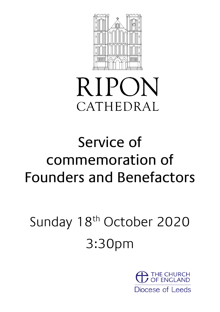

# **RIPON** CATHEDRAL

## Service of commemoration of Founders and Benefactors

## Sunday 18<sup>th</sup> October 2020 3:30pm

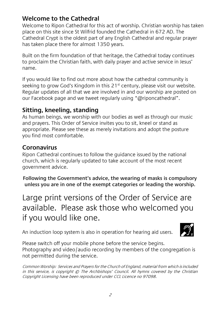## **Welcome to the Cathedral**

Welcome to Ripon Cathedral for this act of worship. Christian worship has taken place on this site since St Wilfrid founded the Cathedral in 672 AD. The Cathedral Crypt is the oldest part of any English Cathedral and regular prayer has taken place there for almost 1350 years.

Built on the firm foundation of that heritage, the Cathedral today continues to proclaim the Christian faith, with daily prayer and active service in Jesus' name.

If you would like to find out more about how the cathedral community is seeking to grow God's Kingdom in this  $21<sup>st</sup>$  century, please visit our website. Regular updates of all that we are involved in and our worship are posted on our Facebook page and we tweet regularly using "@riponcathedral".

## **Sitting, kneeling, standing**

As human beings, we worship with our bodies as well as through our music and prayers. This Order of Service invites you to sit, kneel or stand as appropriate. Please see these as merely invitations and adopt the posture you find most comfortable.

#### **Coronavirus**

Ripon Cathedral continues to follow the guidance issued by the national church, which is regularly updated to take account of the most recent government advice.

**Following the Government's advice, the wearing of masks is compulsory unless you are in one of the exempt categories or leading the worship.**

Large print versions of the Order of Service are available. Please ask those who welcomed you if you would like one.

An induction loop system is also in operation for hearing aid users.



Please switch off your mobile phone before the service begins. Photography and video/audio recording by members of the congregation is not permitted during the service.

Common Worship: Services and Prayers for the Church of England, material from which is included in this service, is copyright © The Archbishops' Council. All hymns covered by the Christian Copyright Licensing have been reproduced under CCL Licence no 97098.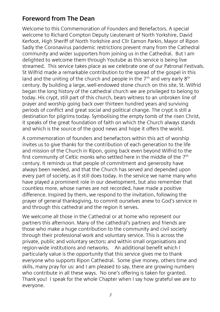## **Foreword from The Dean**

Welcome to this Commemoration of Founders and Benefactors. A special welcome to Richard Compton Deputy Lieutenant of North Yorkshire, David Kerfoot, High Sheriff of North Yorkshire and Cllr Eamon Parkin, Mayor of Ripon Sadly the Coronavirus pandemic restrictions prevent many from the Cathedral community and wider supporters from joining us in the Cathedral. But I am delighted to welcome them through Youtube as this service is being live streamed. This service takes place as we celebrate one of our Patronal Festivals. St Wilfrid made a remarkable contribution to the spread of the gospel in this land and the uniting of the church and people in the  $7<sup>th</sup>$  and very early  $8<sup>th</sup>$ century. By building a large, well-endowed stone church on this site, St. Wilfrid began the long history of the cathedral church we are privileged to belong to today. His crypt, still part of this church, bears witness to an unbroken line of prayer and worship going back over thirteen hundred years and surviving periods of conflict and great social and political change. The crypt is still a destination for pilgrims today. Symbolising the empty tomb of the risen Christ, it speaks of the great foundation of faith on which the Church always stands and which is the source of the good news and hope it offers the world.

A commemoration of founders and benefactors within this act of worship invites us to give thanks for the contribution of each generation to the life and mission of the Church in Ripon, going back even beyond Wilfrid to the first community of Celtic monks who settled here in the middle of the 7th century. It reminds us that people of commitment and generosity have always been needed, and that the Church has served and depended upon every part of society, as it still does today. In the service we name many who have played a prominent role in our development, but also remember that countless more, whose names are not recorded, have made a positive difference. Inspired by them, we respond to the invitation, following the prayer of general thanksgiving, to commit ourselves anew to God's service in and through this cathedral and the region it serves.

We welcome all those in the Cathedral or at home who represent our partners this afternoon. Many of the cathedral's partners and friends are those who make a huge contribution to the community and civil society through their professional work and voluntary service. This is across the private, public and voluntary sectors; and within small organisations and region-wide institutions and networks. An additional benefit which I particularly value is the opportunity that this service gives me to thank everyone who supports Ripon Cathedral. Some give money, others time and skills, many pray for us: and I am pleased to say, there are growing numbers who contribute in all these ways. No one's offering is taken for granted. Thank you! I speak for the whole Chapter when I say how grateful we are to everyone.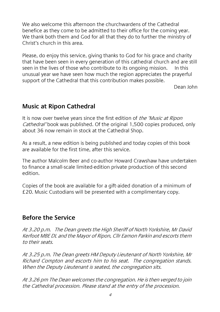We also welcome this afternoon the churchwardens of the Cathedral benefice as they come to be admitted to their office for the coming year. We thank both them and God for all that they do to further the ministry of Christ's church in this area.

Please, do enjoy this service, giving thanks to God for his grace and charity that have been seen in every generation of this cathedral church and are still seen in the lives of those who contribute to its ongoing mission. In this unusual year we have seen how much the region appreciates the prayerful support of the Cathedral that this contribution makes possible.

Dean John

#### **Music at Ripon Cathedral**

It is now over twelve years since the first edition of the 'Music at Ripon Cathedral' book was published. Of the original 1,500 copies produced, only about 36 now remain in stock at the Cathedral Shop.

As a result, a new edition is being published and today copies of this book are available for the first time, after this service.

The author Malcolm Beer and co-author Howard Crawshaw have undertaken to finance a small-scale limited-edition private production of this second edition.

Copies of the book are available for a gift-aided donation of a minimum of £20. Music Custodians will be presented with a complimentary copy.

#### **Before the Service**

At 3.20 p.m. The Dean greets the High Sheriff of North Yorkshire, Mr David Kerfoot MBE DL and the Mayor of Ripon, Cllr Eamon Parkin and escorts them to their seats.

At 3.25 p.m. The Dean greets HM Deputy Lieutenant of North Yorkshire, Mr Richard Compton and escorts him to his seat. The congregation stands. When the Deputy Lieutenant is seated, the congregation sits.

At 3.26 pm The Dean welcomes the congregation. He is then verged to join the Cathedral procession. Please stand at the entry of the procession.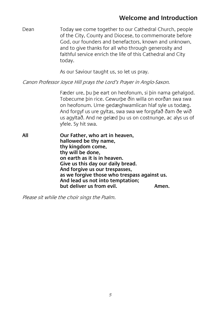#### **Welcome and Introduction**

Dean Today we come together to our Cathedral Church, people of the City, County and Diocese, to commemorate before God, our founders and benefactors, known and unknown, and to give thanks for all who through generosity and faithful service enrich the life of this Cathedral and City today.

As our Saviour taught us, so let us pray.

Canon Professor Joyce Hill prays the Lord's Prayer in Anglo-Saxon.

Fæder ure, þu þe eart on heofonum, si þin nama gehalgod. Tobecume þin rice. Gewurþe ðin willa on eorðan swa swa on heofonum. Urne gedæghwamlican hlaf syle us todæg. And forgyf us ure gyltas, swa swa we forgyfað ðam ðe wið us agyltað. And ne gelæd þu us on costnunge, ac alys us of yfele. Sy hit swa.

**All Our Father, who art in heaven, hallowed be thy name, thy kingdom come, thy will be done, on earth as it is in heaven. Give us this day our daily bread. And forgive us our trespasses, as we forgive those who trespass against us. And lead us not into temptation; but deliver us from evil. Amen.**

Please sit while the choir sings the Psalm.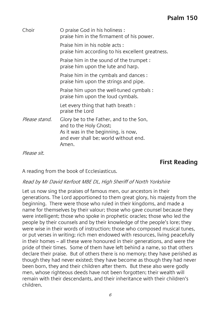## **Psalm 150**

| Choir         | O praise God in his holiness:<br>praise him in the firmament of his power.                                                                                 |
|---------------|------------------------------------------------------------------------------------------------------------------------------------------------------------|
|               | Praise him in his noble acts:<br>praise him according to his excellent greatness.                                                                          |
|               | Praise him in the sound of the trumpet :<br>praise him upon the lute and harp.                                                                             |
|               | Praise him in the cymbals and dances:<br>praise him upon the strings and pipe.                                                                             |
|               | Praise him upon the well-tuned cymbals:<br>praise him upon the loud cymbals.                                                                               |
|               | Let every thing that hath breath:<br>praise the Lord                                                                                                       |
| Please stand. | Glory be to the Father, and to the Son,<br>and to the Holy Ghost;<br>As it was in the beginning, is now,<br>and ever shall be: world without end.<br>Amen. |

Please sit.

#### **First Reading**

A reading from the book of Ecclesiasticus.

#### Read by Mr David Kerfoot MBE DL, High Sheriff of North Yorkshire

Let us now sing the praises of famous men, our ancestors in their generations. The Lord apportioned to them great glory, his majesty from the beginning. There were those who ruled in their kingdoms, and made a name for themselves by their valour; those who gave counsel because they were intelligent; those who spoke in prophetic oracles; those who led the people by their counsels and by their knowledge of the people's lore; they were wise in their words of instruction; those who composed musical tunes, or put verses in writing; rich men endowed with resources, living peacefully in their homes – all these were honoured in their generations, and were the pride of their times. Some of them have left behind a name, so that others declare their praise. But of others there is no memory; they have perished as though they had never existed; they have become as though they had never been born, they and their children after them. But these also were godly men, whose righteous deeds have not been forgotten; their wealth will remain with their descendants, and their inheritance with their children's children.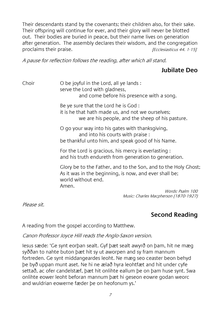Their descendants stand by the covenants; their children also, for their sake. Their offspring will continue for ever, and their glory will never be blotted out. Their bodies are buried in peace, but their name lives on generation after generation. The assembly declares their wisdom, and the congregation proclaims their praise. The contract of the set of the set of the set of the set of the set of the proclamation  $\frac{F}{2}$  (Ecclesiasticus 44. 1-15)

A pause for reflection follows the reading, after which all stand.

#### **Jubilate Deo**

Choir O be joyful in the Lord, all ye lands : serve the Lord with gladness. and come before his presence with a song. Be ye sure that the Lord he is God : it is he that hath made us, and not we ourselves;

we are his people, and the sheep of his pasture.

O go your way into his gates with thanksgiving, and into his courts with praise : be thankful unto him, and speak good of his Name.

For the Lord is gracious, his mercy is everlasting : and his truth endureth from generation to generation.

Glory be to the Father, and to the Son, and to the Holy Ghost; As it was in the beginning, is now, and ever shall be; world without end. Amen.

Words: Psalm 100 Music: Charles Macpherson (1870-1927)

Please sit.

## **Second Reading**

A reading from the gospel according to Matthew.

Canon Professor Joyce Hill reads the Anglo-Saxon version.

Iesus sæde: 'Ge synt eorþan sealt. Gyf þæt sealt awyrð on þam, hit ne mæg syððan to nahte buton þæt hit sy ut aworpen and sy fram mannum fortreden. Ge synt middangeardes leoht. Ne mæg seo ceaster beon behyd þe byð uppan munt aset. Ne hi ne ælað hyra leohtfæt and hit under cyfe settað, ac ofer candelstæf, þæt hit onlihte eallum þe on þam huse synt. Swa onlihte eower leoht beforan mannum þæt hi geseon eowre godan weorc and wuldrian eowerne fæder þe on heofonum ys.'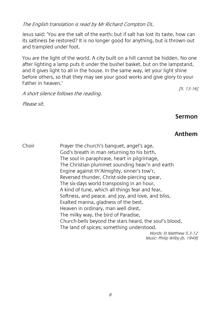The English translation is read by Mr Richard Compton DL.

Jesus said: 'You are the salt of the earth; but if salt has lost its taste, how can its saltiness be restored? It is no longer good for anything, but is thrown out and trampled under foot.

You are the light of the world. A city built on a hill cannot be hidden. No one after lighting a lamp puts it under the bushel basket, but on the lampstand, and it gives light to all in the house. In the same way, let your light shine before others, so that they may see your good works and give glory to your Father in heaven.' [5. 13-16]

A short silence follows the reading.

Please sit.

**Sermon**

#### **Anthem**

Choir Prayer the church's banquet, angel's age, God's breath in man returning to his birth, The soul in paraphrase, heart in pilgrimage, The Christian plummet sounding heav'n and earth Engine against th'Almighty, sinner's tow'r, Reversed thunder, Christ-side-piercing spear, The six-days world transposing in an hour, A kind of tune, which all things fear and fear, Softness, and peace, and joy, and love, and bliss, Exalted manna, gladness of the best, Heaven in ordinary, man well drest, The milky way, the bird of Paradise, Church-bells beyond the stars heard, the soul's blood, The land of spices; something understood. Words: St Matthew 5.3-12 Music: Philip Wilby (b. 1949)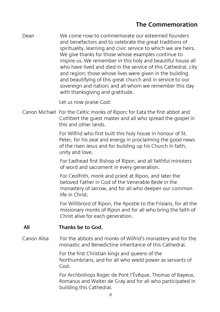## **The Commemoration**

Dean We come now to commemorate our esteemed founders and benefactors and to celebrate the great traditions of spirituality, learning and civic service to which we are heirs. We give thanks for those whose examples continue to inspire us. We remember in this holy and beautiful house all who have lived and died in the service of this Cathedral, city and region; those whose lives were given in the building and beautifying of this great church and in service to our sovereign and nation; and all whom we remember this day with thanksgiving and gratitude.

Let us now praise God:

Canon Michael For the Celtic monks of Ripon; for Eata the first abbot and Cuthbert the guest master and all who spread the gospel in this and other lands.

> For Wilfrid who first built this holy house in honour of St. Peter, for his zeal and energy in proclaiming the good news of the risen Jesus and for building up his Church in faith, unity and love.

For Eadhead first Bishop of Ripon, and all faithful ministers of word and sacrament in every generation.

For Ceolfrith, monk and priest at Ripon, and later the beloved Father in God of the Venerable Bede in the monastery of Jarrow, and for all who deepen our common life in Christ.

For Willibrord of Ripon, the Apostle to the Frisians, for all the missionary monks of Ripon and for all who bring the faith of Christ alive for each generation.

#### **All Thanks be to God.**

Canon Ailsa For the abbots and monks of Wilfrid's monastery and for the monastic and Benedictine inheritance of this Cathedral.

> For the first Christian kings and queens of the Northumbrians, and for all who wield power as servants of God.

For Archbishops Roger de Pont l'Évêque, Thomas of Bayeux, Romanus and Walter de Gray and for all who participated in building this Cathedral.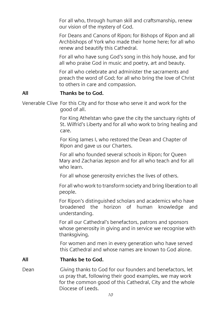For all who, through human skill and craftsmanship, renew our vision of the mystery of God.

For Deans and Canons of Ripon; for Bishops of Ripon and all Archbishops of York who made their home here; for all who renew and beautify this Cathedral.

For all who have sung God's song in this holy house, and for all who praise God in music and poetry, art and beauty.

For all who celebrate and administer the sacraments and preach the word of God; for all who bring the love of Christ to others in care and compassion.

#### **All Thanks be to God.**

Venerable Clive For this City and for those who serve it and work for the good of all.

> For King Athelstan who gave the city the sanctuary rights of St. Wilfrid's Liberty and for all who work to bring healing and care.

For King James I, who restored the Dean and Chapter of Ripon and gave us our Charters.

For all who founded several schools in Ripon; for Queen Mary and Zacharias Jepson and for all who teach and for all who learn.

For all whose generosity enriches the lives of others.

For all who work to transform society and bring liberation to all people.

For Ripon's distinguished scholars and academics who have broadened the horizon of human knowledge and understanding.

For all our Cathedral's benefactors, patrons and sponsors whose generosity in giving and in service we recognise with thanksgiving.

For women and men in every generation who have served this Cathedral and whose names are known to God alone.

#### **All Thanks be to God.**

Dean Giving thanks to God for our founders and benefactors, let us pray that, following their good examples, we may work for the common good of this Cathedral, City and the whole Diocese of Leeds.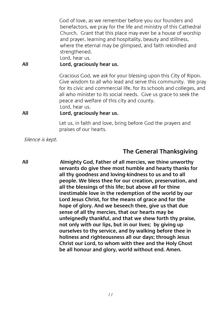God of love, as we remember before you our founders and benefactors, we pray for the life and ministry of this Cathedral Church. Grant that this place may ever be a house of worship and prayer, learning and hospitality, beauty and stillness, where the eternal may be glimpsed, and faith rekindled and strengthened.

Lord, hear us.

#### **All Lord, graciously hear us.**

Gracious God, we ask for your blessing upon this City of Ripon. Give wisdom to all who lead and serve this community. We pray for its civic and commercial life, for its schools and colleges, and all who minister to its social needs. Give us grace to seek the peace and welfare of this city and county. Lord, hear us.

#### **All Lord, graciously hear us.**

Let us, in faith and love, bring before God the prayers and praises of our hearts.

Silence is kept.

#### **The General Thanksgiving**

**All Almighty God, Father of all mercies, we thine unworthy servants do give thee most humble and hearty thanks for all thy goodness and loving-kindness to us and to all people. We bless thee for our creation, preservation, and all the blessings of this life; but above all for thine inestimable love in the redemption of the world by our Lord Jesus Christ, for the means of grace and for the hope of glory. And we beseech thee, give us that due sense of all thy mercies, that our hearts may be unfeignedly thankful, and that we shew forth thy praise, not only with our lips, but in our lives; by giving up ourselves to thy service, and by walking before thee in holiness and righteousness all our days; through Jesus Christ our Lord, to whom with thee and the Holy Ghost be all honour and glory, world without end. Amen.**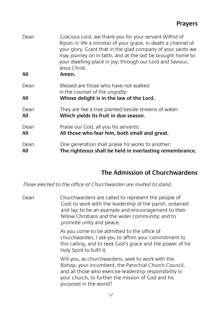| Dean<br>All | Gracious Lord, we thank you for your servant Wilfrid of<br>Ripon; in life a minister of your grace, in death a channel of<br>your glory. Grant that in the glad company of your saints we<br>may journey on in faith, and at the last be brought home to<br>your dwelling-place in joy; through our Lord and Saviour,<br>Jesus Christ.<br>Amen. |
|-------------|-------------------------------------------------------------------------------------------------------------------------------------------------------------------------------------------------------------------------------------------------------------------------------------------------------------------------------------------------|
| Dean        | Blessed are those who have not walked<br>in the counsel of the ungodly:                                                                                                                                                                                                                                                                         |
| All         | Whose delight is in the law of the Lord.                                                                                                                                                                                                                                                                                                        |
| Dean        | They are like a tree planted beside streams of water:                                                                                                                                                                                                                                                                                           |
| All         | Which yields its fruit in due season.                                                                                                                                                                                                                                                                                                           |
| Dean        | Praise our God, all you his servants:                                                                                                                                                                                                                                                                                                           |
| All         | All those who fear him, both small and great.                                                                                                                                                                                                                                                                                                   |
| Dean        | One generation shall praise his works to another:                                                                                                                                                                                                                                                                                               |
| All         | The righteous shall be held in everlasting remembrance.                                                                                                                                                                                                                                                                                         |

#### **The Admission of Churchwardens**

Those elected to the office of Churchwarden are invited to stand.

Dean Churchwardens are called to represent the people of God; to work with the leadership of the parish, ordained and lay; to be an example and encouragement to their fellow Christians and the wider community; and to promote unity and peace.

> As you come to be admitted to the office of churchwarden, I ask you to affirm your commitment to this calling, and to seek God's grace and the power of his Holy Spirit to fulfil it.

Will you, as churchwardens, seek to work with the Bishop, your incumbent, the Parochial Church Council, and all those who exercise leadership responsibility in your church, to further the mission of God and his purposes in the world?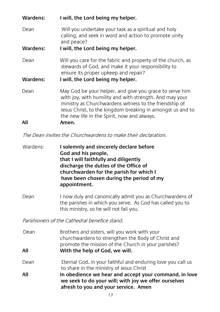| Wardens: | I will, the Lord being my helper.                                                                                                                                                                                                                                                         |
|----------|-------------------------------------------------------------------------------------------------------------------------------------------------------------------------------------------------------------------------------------------------------------------------------------------|
| Dean     | Will you undertake your task as a spiritual and holy<br>calling, and seek in word and action to promote unity<br>and peace?                                                                                                                                                               |
| Wardens: | I will, the Lord being my helper.                                                                                                                                                                                                                                                         |
| Dean     | Will you care for the fabric and property of the church, as<br>stewards of God, and make it your responsibility to<br>ensure its proper upkeep and repair?                                                                                                                                |
| Wardens: | I will, the Lord being my helper.                                                                                                                                                                                                                                                         |
| Dean     | May God be your helper, and give you grace to serve him<br>with joy, with humility and with strength. And may your<br>ministry as Churchwardens witness to the friendship of<br>Jesus Christ, to the kingdom breaking in amongst us and to<br>the new life in the Spirit, now and always. |
| All      | Amen.                                                                                                                                                                                                                                                                                     |

The Dean invites the Churchwardens to make their declaration.

Wardens: **I solemnly and sincerely declare before God and his people, that I will faithfully and diligently discharge the duties of the Office of churchwarden for the parish for which I have been chosen during the period of my appointment.**

Dean I now duly and canonically admit you as Churchwardens of the parishes in which you serve. As God has called you to this ministry, so he will not fail you.

Parishioners of the Cathedral benefice stand.

| Dean<br>All | Brothers and sisters, will you work with your<br>churchwardens to strengthen the Body of Christ and<br>promote the mission of the Church in your parishes?<br>With the help of God, we will. |
|-------------|----------------------------------------------------------------------------------------------------------------------------------------------------------------------------------------------|
| Dean        | Eternal God, in your faithful and enduring love you call us<br>to share in the ministry of Jesus Christ                                                                                      |
| All         | In obedience we hear and accept your command, in love<br>we seek to do your will; with joy we offer ourselves<br>afresh to you and your service. Amen                                        |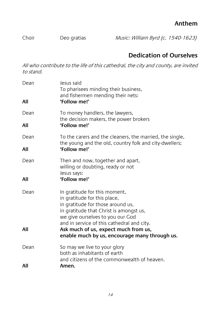## **Anthem**

Choir Deo gratias Music: William Byrd (c. 1540-1623)

## **Dedication of Ourselves**

All who contribute to the life of this cathedral, the city and county, are invited to stand.

| Dean<br>All | lesus said<br>To pharisees minding their business,<br>and fishermen mending their nets:<br>'Follow me!'                                                                                                                         |
|-------------|---------------------------------------------------------------------------------------------------------------------------------------------------------------------------------------------------------------------------------|
| Dean        | To money handlers, the lawyers,<br>the decision makers, the power brokers                                                                                                                                                       |
| All         | 'Follow me!'                                                                                                                                                                                                                    |
| Dean        | To the carers and the cleaners, the married, the single,<br>the young and the old, country folk and city-dwellers;                                                                                                              |
| All         | 'Follow me!'                                                                                                                                                                                                                    |
| Dean        | Then and now, together and apart,<br>willing or doubting, ready or not<br>Jesus says:                                                                                                                                           |
| All         | 'Follow me!'                                                                                                                                                                                                                    |
| Dean        | In gratitude for this moment,<br>in gratitude for this place,<br>in gratitude for those around us,<br>in gratitude that Christ is amongst us,<br>we give ourselves to you our God<br>and in service of this cathedral and city. |
| All         | Ask much of us, expect much from us,<br>enable much by us, encourage many through us.                                                                                                                                           |
| Dean        | So may we live to your glory<br>both as inhabitants of earth<br>and citizens of the commonwealth of heaven.                                                                                                                     |
| All         | Amen.                                                                                                                                                                                                                           |